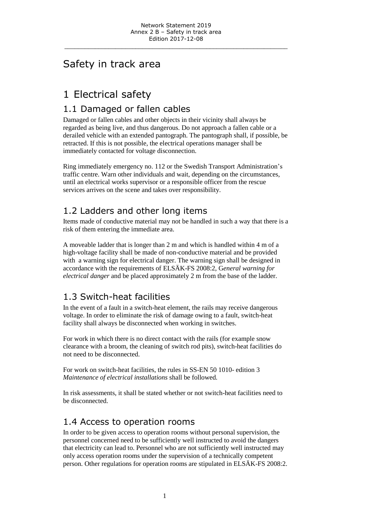\_\_\_\_\_\_\_\_\_\_\_\_\_\_\_\_\_\_\_\_\_\_\_\_\_\_\_\_\_\_\_\_\_\_\_\_\_\_\_\_\_\_\_\_\_\_\_\_\_\_\_\_\_\_\_\_\_\_\_\_\_\_\_\_\_\_

### Safety in track area

## 1 Electrical safety

#### 1.1 Damaged or fallen cables

Damaged or fallen cables and other objects in their vicinity shall always be regarded as being live, and thus dangerous. Do not approach a fallen cable or a derailed vehicle with an extended pantograph. The pantograph shall, if possible, be retracted. If this is not possible, the electrical operations manager shall be immediately contacted for voltage disconnection.

Ring immediately emergency no. 112 or the Swedish Transport Administration's traffic centre. Warn other individuals and wait, depending on the circumstances, until an electrical works supervisor or a responsible officer from the rescue services arrives on the scene and takes over responsibility.

### 1.2 Ladders and other long items

Items made of conductive material may not be handled in such a way that there is a risk of them entering the immediate area.

A moveable ladder that is longer than 2 m and which is handled within 4 m of a high-voltage facility shall be made of non-conductive material and be provided with a warning sign for electrical danger. The warning sign shall be designed in accordance with the requirements of ELSÄK-FS 2008:2, G*eneral warning for electrical danger* and be placed approximately 2 m from the base of the ladder.

### 1.3 Switch-heat facilities

In the event of a fault in a switch-heat element, the rails may receive dangerous voltage. In order to eliminate the risk of damage owing to a fault, switch-heat facility shall always be disconnected when working in switches.

For work in which there is no direct contact with the rails (for example snow clearance with a broom, the cleaning of switch rod pits), switch-heat facilities do not need to be disconnected.

For work on switch-heat facilities, the rules in SS-EN 50 1010- edition 3 *Maintenance of electrical installations* shall be followed*.*

In risk assessments, it shall be stated whether or not switch-heat facilities need to be disconnected.

#### 1.4 Access to operation rooms

In order to be given access to operation rooms without personal supervision, the personnel concerned need to be sufficiently well instructed to avoid the dangers that electricity can lead to. Personnel who are not sufficiently well instructed may only access operation rooms under the supervision of a technically competent person. Other regulations for operation rooms are stipulated in ELSÄK-FS 2008:2.